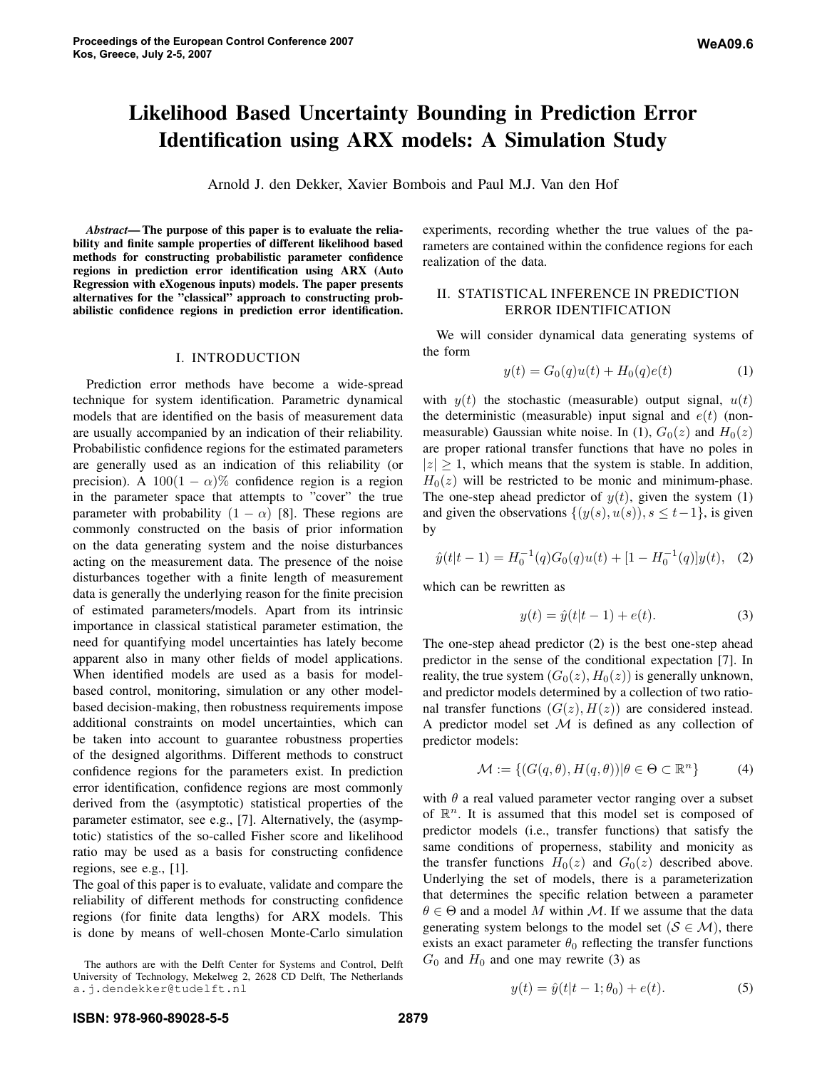# **Likelihood Based Uncertainty Bounding in Prediction Error Identification using ARX models: A Simulation Study**

Arnold J. den Dekker, Xavier Bombois and Paul M.J. Van den Hof

*Abstract***—The purpose of this paper is to evaluate the reliability and finite sample properties of different likelihood based methods for constructing probabilistic parameter confidence regions in prediction error identification using ARX (Auto Regression with eXogenous inputs) models. The paper presents alternatives for the "classical" approach to constructing probabilistic confidence regions in prediction error identification.**

# I. INTRODUCTION

Prediction error methods have become a wide-spread technique for system identification. Parametric dynamical models that are identified on the basis of measurement data are usually accompanied by an indication of their reliability. Probabilistic confidence regions for the estimated parameters are generally used as an indication of this reliability (or precision). A 100(1 –  $\alpha$ )% confidence region is a region in the parameter space that attempts to "cover" the true parameter with probability  $(1 - \alpha)$  [8]. These regions are commonly constructed on the basis of prior information on the data generating system and the noise disturbances acting on the measurement data. The presence of the noise disturbances together with a finite length of measurement data is generally the underlying reason for the finite precision of estimated parameters/models. Apart from its intrinsic importance in classical statistical parameter estimation, the need for quantifying model uncertainties has lately become apparent also in many other fields of model applications. When identified models are used as a basis for modelbased control, monitoring, simulation or any other modelbased decision-making, then robustness requirements impose additional constraints on model uncertainties, which can be taken into account to guarantee robustness properties of the designed algorithms. Different methods to construct confidence regions for the parameters exist. In prediction error identification, confidence regions are most commonly derived from the (asymptotic) statistical properties of the parameter estimator, see e.g., [7]. Alternatively, the (asymptotic) statistics of the so-called Fisher score and likelihood ratio may be used as a basis for constructing confidence regions, see e.g., [1].

The goal of this paper is to evaluate, validate and compare the reliability of different methods for constructing confidence regions (for finite data lengths) for ARX models. This is done by means of well-chosen Monte-Carlo simulation

The authors are with the Delft Center for Systems and Control, Delft University of Technology, Mekelweg 2, 2628 CD Delft, The Netherlands a.j.dendekker@tudelft.nl

experiments, recording whether the true values of the parameters are contained within the confidence regions for each realization of the data.

# II. STATISTICAL INFERENCE IN PREDICTION ERROR IDENTIFICATION

We will consider dynamical data generating systems of the form

$$
y(t) = G_0(q)u(t) + H_0(q)e(t)
$$
 (1)

with  $y(t)$  the stochastic (measurable) output signal,  $u(t)$ the deterministic (measurable) input signal and  $e(t)$  (nonmeasurable) Gaussian white noise. In (1),  $G_0(z)$  and  $H_0(z)$ are proper rational transfer functions that have no poles in  $|z| \geq 1$ , which means that the system is stable. In addition,  $H<sub>0</sub>(z)$  will be restricted to be monic and minimum-phase. The one-step ahead predictor of  $y(t)$ , given the system (1) and given the observations  $\{(y(s), u(s)), s \leq t-1\}$ , is given by

$$
\hat{y}(t|t-1) = H_0^{-1}(q)G_0(q)u(t) + [1 - H_0^{-1}(q)]y(t), \quad (2)
$$

which can be rewritten as

$$
y(t) = \hat{y}(t|t-1) + e(t).
$$
 (3)

The one-step ahead predictor (2) is the best one-step ahead predictor in the sense of the conditional expectation [7]. In reality, the true system  $(G_0(z), H_0(z))$  is generally unknown, and predictor models determined by a collection of two rational transfer functions  $(G(z), H(z))$  are considered instead. A predictor model set  $M$  is defined as any collection of predictor models:

$$
\mathcal{M} := \{ (G(q, \theta), H(q, \theta)) | \theta \in \Theta \subset \mathbb{R}^n \}
$$
 (4)

with  $\theta$  a real valued parameter vector ranging over a subset of  $\mathbb{R}^n$ . It is assumed that this model set is composed of predictor models (i.e., transfer functions) that satisfy the same conditions of properness, stability and monicity as the transfer functions  $H_0(z)$  and  $G_0(z)$  described above. Underlying the set of models, there is a parameterization that determines the specific relation between a parameter  $\theta \in \Theta$  and a model M within M. If we assume that the data generating system belongs to the model set ( $S \in \mathcal{M}$ ), there exists an exact parameter  $\theta_0$  reflecting the transfer functions  $G_0$  and  $H_0$  and one may rewrite (3) as

$$
y(t) = \hat{y}(t|t-1; \theta_0) + e(t).
$$
 (5)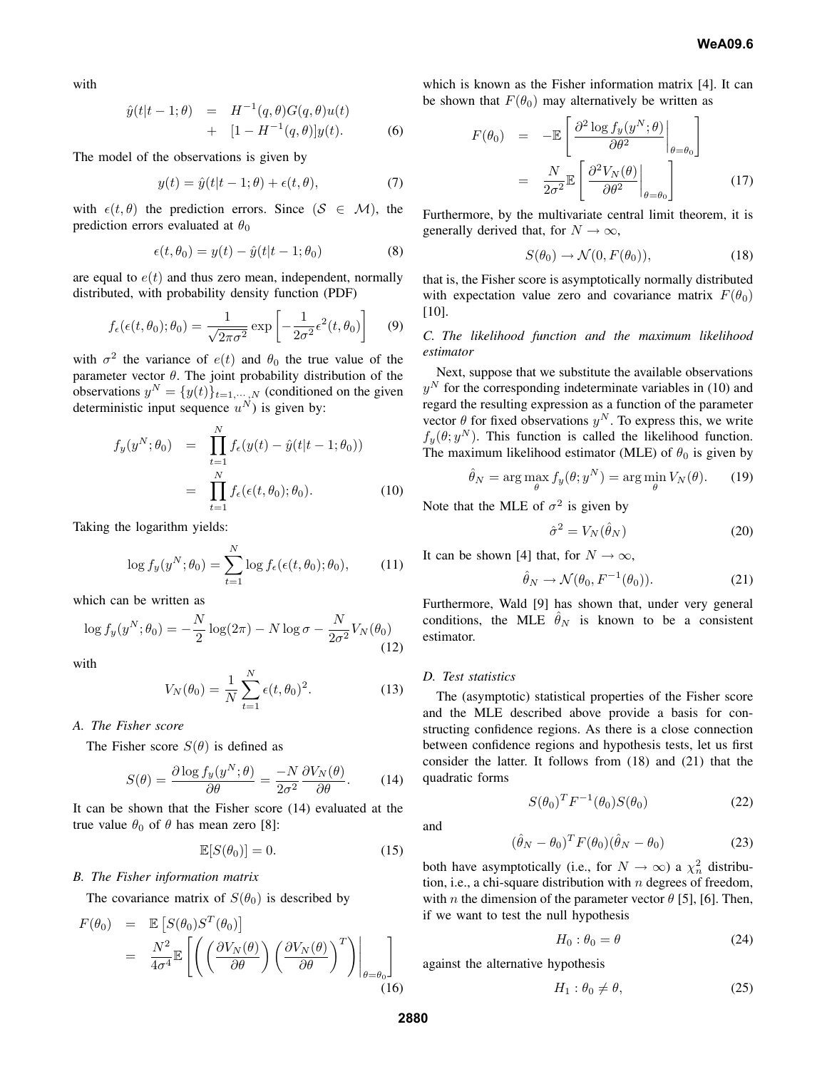with

$$
\hat{y}(t|t-1;\theta) = H^{-1}(q,\theta)G(q,\theta)u(t) \n+ [1 - H^{-1}(q,\theta)]y(t).
$$
\n(6)

The model of the observations is given by

$$
y(t) = \hat{y}(t|t-1;\theta) + \epsilon(t,\theta),\tag{7}
$$

with  $\epsilon(t, \theta)$  the prediction errors. Since  $(S \in \mathcal{M})$ , the prediction errors evaluated at  $\theta_0$ 

$$
\epsilon(t, \theta_0) = y(t) - \hat{y}(t|t-1; \theta_0)
$$
\n(8)

are equal to  $e(t)$  and thus zero mean, independent, normally distributed, with probability density function (PDF)

$$
f_{\epsilon}(\epsilon(t,\theta_0); \theta_0) = \frac{1}{\sqrt{2\pi\sigma^2}} \exp\left[-\frac{1}{2\sigma^2} \epsilon^2(t,\theta_0)\right]
$$
(9)

with  $\sigma^2$  the variance of  $e(t)$  and  $\theta_0$  the true value of the parameter vector  $\theta$ . The joint probability distribution of the observations  $y^N = \{y(t)\}_{t=1,\dots,N}$  (conditioned on the given deterministic input sequence  $u^N$ ) is given by:

$$
f_y(y^N; \theta_0) = \prod_{t=1}^N f_{\epsilon}(y(t) - \hat{y}(t|t-1; \theta_0))
$$
  
= 
$$
\prod_{t=1}^N f_{\epsilon}(\epsilon(t, \theta_0); \theta_0).
$$
 (10)

Taking the logarithm yields:

$$
\log f_y(y^N; \theta_0) = \sum_{t=1}^N \log f_{\epsilon}(\epsilon(t, \theta_0); \theta_0), \quad (11)
$$

which can be written as

$$
\log f_y(y^N; \theta_0) = -\frac{N}{2} \log(2\pi) - N \log \sigma - \frac{N}{2\sigma^2} V_N(\theta_0)
$$
\n(12)

with

$$
V_N(\theta_0) = \frac{1}{N} \sum_{t=1}^N \epsilon(t, \theta_0)^2.
$$
 (13)

*A. The Fisher score*

The Fisher score  $S(\theta)$  is defined as

$$
S(\theta) = \frac{\partial \log f_y(y^N; \theta)}{\partial \theta} = \frac{-N}{2\sigma^2} \frac{\partial V_N(\theta)}{\partial \theta}.
$$
 (14)

It can be shown that the Fisher score (14) evaluated at the true value  $\theta_0$  of  $\theta$  has mean zero [8]:

$$
\mathbb{E}[S(\theta_0)] = 0. \tag{15}
$$

## *B. The Fisher information matrix*

The covariance matrix of  $S(\theta_0)$  is described by

$$
F(\theta_0) = \mathbb{E}\left[S(\theta_0)S^T(\theta_0)\right]
$$
  
=  $\frac{N^2}{4\sigma^4}\mathbb{E}\left[\left(\left(\frac{\partial V_N(\theta)}{\partial \theta}\right)\left(\frac{\partial V_N(\theta)}{\partial \theta}\right)^T\right)\Big|_{\theta=\theta_0}\right]$  (16)

which is known as the Fisher information matrix [4]. It can be shown that  $F(\theta_0)$  may alternatively be written as

$$
F(\theta_0) = -\mathbb{E}\left[\frac{\partial^2 \log f_y(y^N;\theta)}{\partial \theta^2}\bigg|_{\theta=\theta_0}\right]
$$

$$
= \frac{N}{2\sigma^2}\mathbb{E}\left[\frac{\partial^2 V_N(\theta)}{\partial \theta^2}\bigg|_{\theta=\theta_0}\right]
$$
(17)

Furthermore, by the multivariate central limit theorem, it is generally derived that, for  $N \to \infty$ ,

$$
S(\theta_0) \to \mathcal{N}(0, F(\theta_0)), \tag{18}
$$

that is, the Fisher score is asymptotically normally distributed with expectation value zero and covariance matrix  $F(\theta_0)$ [10].

# *C. The likelihood function and the maximum likelihood estimator*

Next, suppose that we substitute the available observations  $y<sup>N</sup>$  for the corresponding indeterminate variables in (10) and regard the resulting expression as a function of the parameter vector  $\theta$  for fixed observations  $y^N$ . To express this, we write  $f_y(\theta; y^N)$ . This function is called the likelihood function. The maximum likelihood estimator (MLE) of  $\theta_0$  is given by

$$
\hat{\theta}_N = \arg\max_{\theta} f_y(\theta; y^N) = \arg\min_{\theta} V_N(\theta). \tag{19}
$$

Note that the MLE of  $\sigma^2$  is given by

$$
\hat{\sigma}^2 = V_N(\hat{\theta}_N) \tag{20}
$$

It can be shown [4] that, for  $N \to \infty$ ,

$$
\hat{\theta}_N \to \mathcal{N}(\theta_0, F^{-1}(\theta_0)). \tag{21}
$$

Furthermore, Wald [9] has shown that, under very general conditions, the MLE  $\hat{\theta}_N$  is known to be a consistent estimator.

# *D. Test statistics*

The (asymptotic) statistical properties of the Fisher score and the MLE described above provide a basis for constructing confidence regions. As there is a close connection between confidence regions and hypothesis tests, let us first consider the latter. It follows from (18) and (21) that the quadratic forms

and

$$
(\hat{\theta}_N - \theta_0)^T F(\theta_0) (\hat{\theta}_N - \theta_0)
$$
\n(23)

 $S(\theta_0)^T F^{-1}(\theta_0) S(\theta_0)$  (22)

both have asymptotically (i.e., for  $N \to \infty$ ) a  $\chi^2$  distribution, i.e., a chi-square distribution with  $n$  degrees of freedom, with *n* the dimension of the parameter vector  $\theta$  [5], [6]. Then, if we want to test the null hypothesis

$$
H_0: \theta_0 = \theta \tag{24}
$$

against the alternative hypothesis

$$
H_1: \theta_0 \neq \theta,\tag{25}
$$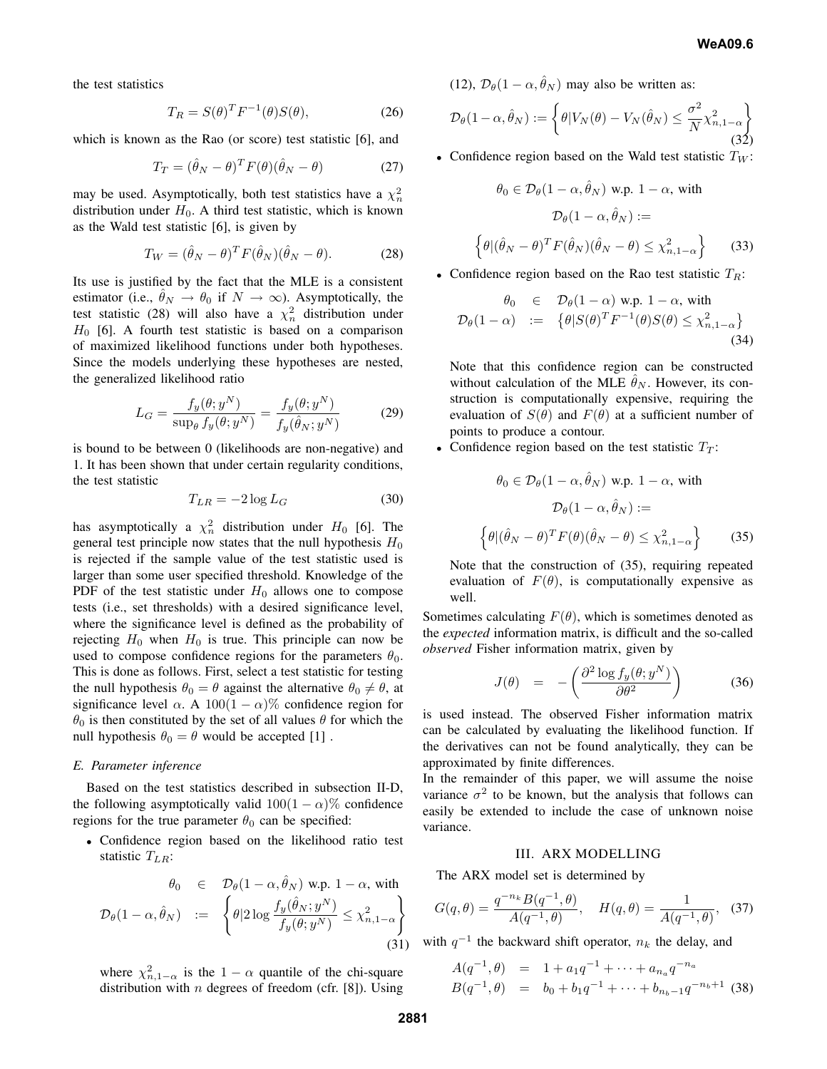the test statistics

$$
T_R = S(\theta)^T F^{-1}(\theta) S(\theta), \qquad (26)
$$

which is known as the Rao (or score) test statistic [6], and

$$
T_T = (\hat{\theta}_N - \theta)^T F(\theta) (\hat{\theta}_N - \theta)
$$
 (27)

may be used. Asymptotically, both test statistics have a  $\chi^2_n$ distribution under  $H_0$ . A third test statistic, which is known as the Wald test statistic [6], is given by

$$
T_W = (\hat{\theta}_N - \theta)^T F(\hat{\theta}_N)(\hat{\theta}_N - \theta).
$$
 (28)

Its use is justified by the fact that the MLE is a consistent estimator (i.e.,  $\hat{\theta}_N \rightarrow \theta_0$  if  $N \rightarrow \infty$ ). Asymptotically, the test statistic (28) will also have a  $\chi^2$  distribution under  $H_0$  [6]. A fourth test statistic is based on a comparison of maximized likelihood functions under both hypotheses. Since the models underlying these hypotheses are nested, the generalized likelihood ratio

$$
L_G = \frac{f_y(\theta; y^N)}{\sup_{\theta} f_y(\theta; y^N)} = \frac{f_y(\theta; y^N)}{f_y(\hat{\theta}_N; y^N)} \tag{29}
$$

is bound to be between 0 (likelihoods are non-negative) and 1. It has been shown that under certain regularity conditions, the test statistic

$$
T_{LR} = -2\log L_G \tag{30}
$$

has asymptotically a  $\chi^2$  distribution under  $H_0$  [6]. The general test principle now states that the null hypothesis  $H_0$ is rejected if the sample value of the test statistic used is larger than some user specified threshold. Knowledge of the PDF of the test statistic under  $H_0$  allows one to compose tests (i.e., set thresholds) with a desired significance level, where the significance level is defined as the probability of rejecting  $H_0$  when  $H_0$  is true. This principle can now be used to compose confidence regions for the parameters  $\theta_0$ . This is done as follows. First, select a test statistic for testing the null hypothesis  $\theta_0 = \theta$  against the alternative  $\theta_0 \neq \theta$ , at significance level  $\alpha$ . A 100(1 –  $\alpha$ )% confidence region for  $\theta_0$  is then constituted by the set of all values  $\theta$  for which the null hypothesis  $\theta_0 = \theta$  would be accepted [1].

## *E. Parameter inference*

Based on the test statistics described in subsection II-D, the following asymptotically valid  $100(1 - \alpha)\%$  confidence regions for the true parameter  $\theta_0$  can be specified:

• Confidence region based on the likelihood ratio test statistic  $T_{LR}$ :

$$
\theta_0 \in \mathcal{D}_{\theta}(1-\alpha, \hat{\theta}_N) \text{ w.p. } 1-\alpha, \text{ with}
$$
\n
$$
\mathcal{D}_{\theta}(1-\alpha, \hat{\theta}_N) := \left\{ \theta | 2 \log \frac{f_y(\hat{\theta}_N; y^N)}{f_y(\theta; y^N)} \le \chi^2_{n, 1-\alpha} \right\}
$$
\n(31)

where  $\chi^2_{n,1-\alpha}$  is the  $1-\alpha$  quantile of the chi-square distribution with *n* degrees of freedom (cfr. [8]). Using (12),  $\mathcal{D}_{\theta}(1-\alpha, \hat{\theta}_N)$  may also be written as:

$$
\mathcal{D}_{\theta}(1-\alpha,\hat{\theta}_{N}) := \left\{\theta|V_{N}(\theta) - V_{N}(\hat{\theta}_{N}) \leq \frac{\sigma^{2}}{N} \chi^{2}_{n,1-\alpha} \right\}
$$
(32)

• Confidence region based on the Wald test statistic  $T_W$ :

$$
\theta_0 \in \mathcal{D}_{\theta}(1-\alpha, \hat{\theta}_N) \text{ w.p. } 1-\alpha, \text{ with}
$$

$$
\mathcal{D}_{\theta}(1-\alpha, \hat{\theta}_N) :=
$$

$$
\left\{\theta | (\hat{\theta}_N - \theta)^T F(\hat{\theta}_N)(\hat{\theta}_N - \theta) \le \chi^2_{n, 1-\alpha} \right\}
$$
(33)

• Confidence region based on the Rao test statistic  $T_R$ :

$$
\theta_0 \in \mathcal{D}_{\theta}(1-\alpha) \text{ w.p. } 1-\alpha, \text{ with}
$$
  

$$
\mathcal{D}_{\theta}(1-\alpha) := \{ \theta | S(\theta)^T F^{-1}(\theta) S(\theta) \le \chi^2_{n,1-\alpha} \}
$$
(34)

Note that this confidence region can be constructed without calculation of the MLE  $\hat{\theta}_N$ . However, its construction is computationally expensive, requiring the evaluation of  $S(\theta)$  and  $F(\theta)$  at a sufficient number of points to produce a contour.

• Confidence region based on the test statistic  $T_T$ :

$$
\theta_0 \in \mathcal{D}_{\theta}(1 - \alpha, \hat{\theta}_N) \text{ w.p. } 1 - \alpha, \text{ with}
$$

$$
\mathcal{D}_{\theta}(1 - \alpha, \hat{\theta}_N) :=
$$

$$
\left\{\theta | (\hat{\theta}_N - \theta)^T F(\theta)(\hat{\theta}_N - \theta) \le \chi^2_{n, 1 - \alpha} \right\}
$$
(35)

Note that the construction of (35), requiring repeated evaluation of  $F(\theta)$ , is computationally expensive as well.

Sometimes calculating  $F(\theta)$ , which is sometimes denoted as the *expected* information matrix, is difficult and the so-called *observed* Fisher information matrix, given by

$$
J(\theta) = -\left(\frac{\partial^2 \log f_y(\theta; y^N)}{\partial \theta^2}\right) \tag{36}
$$

is used instead. The observed Fisher information matrix can be calculated by evaluating the likelihood function. If the derivatives can not be found analytically, they can be approximated by finite differences.

In the remainder of this paper, we will assume the noise variance  $\sigma^2$  to be known, but the analysis that follows can easily be extended to include the case of unknown noise variance.

## III. ARX MODELLING

The ARX model set is determined by

$$
G(q,\theta) = \frac{q^{-n_k} B(q^{-1}, \theta)}{A(q^{-1}, \theta)}, \quad H(q,\theta) = \frac{1}{A(q^{-1}, \theta)}, \quad (37)
$$

with  $q^{-1}$  the backward shift operator,  $n_k$  the delay, and

$$
A(q^{-1}, \theta) = 1 + a_1 q^{-1} + \dots + a_{n_a} q^{-n_a}
$$
  
\n
$$
B(q^{-1}, \theta) = b_0 + b_1 q^{-1} + \dots + b_{n_b-1} q^{-n_b+1}
$$
 (38)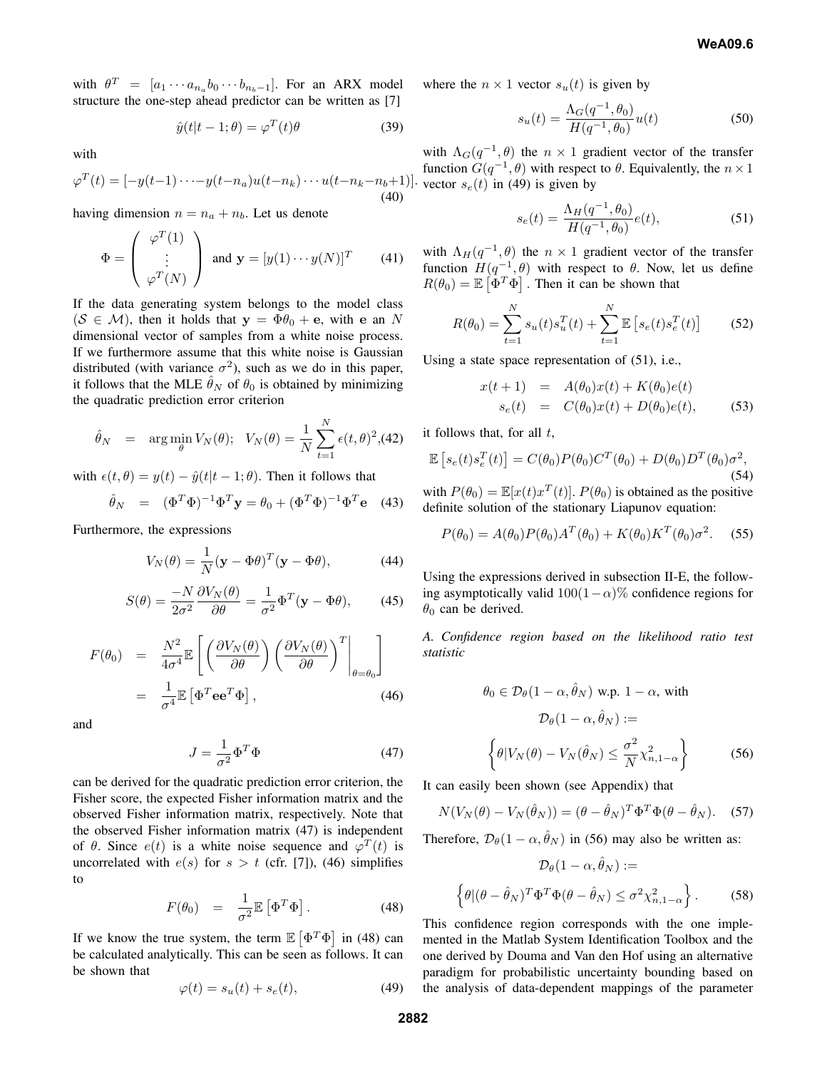with  $\theta^T = [a_1 \cdots a_{n_a} b_0 \cdots b_{n_b-1}]$ . For an ARX model structure the one-step ahead predictor can be written as [7]

$$
\hat{y}(t|t-1;\theta) = \varphi^{T}(t)\theta
$$
\n(39)

with

$$
\varphi^{T}(t) = [-y(t-1)\cdots - y(t-n_a)u(t-n_k)\cdots u(t-n_k-n_b+1)].
$$
\n(40)

having dimension  $n = n_a + n_b$ . Let us denote

$$
\Phi = \begin{pmatrix} \varphi^T(1) \\ \vdots \\ \varphi^T(N) \end{pmatrix} \text{ and } \mathbf{y} = [y(1) \cdots y(N)]^T \qquad (41)
$$

If the data generating system belongs to the model class  $(S \in M)$ , then it holds that  $y = \Phi \theta_0 + e$ , with e an N dimensional vector of samples from a white noise process. If we furthermore assume that this white noise is Gaussian distributed (with variance  $\sigma^2$ ), such as we do in this paper, it follows that the MLE  $\hat{\theta}_N$  of  $\theta_0$  is obtained by minimizing the quadratic prediction error criterion

$$
\hat{\theta}_N
$$
 = arg min <sub>$\theta$</sub>   $V_N(\theta)$ ;  $V_N(\theta) = \frac{1}{N} \sum_{t=1}^N \epsilon(t, \theta)^2$ , (42)

with  $\epsilon(t, \theta) = y(t) - \hat{y}(t|t-1; \theta)$ . Then it follows that

$$
\hat{\theta}_N = (\Phi^T \Phi)^{-1} \Phi^T \mathbf{y} = \theta_0 + (\Phi^T \Phi)^{-1} \Phi^T \mathbf{e}
$$
 (43)

Furthermore, the expressions

$$
V_N(\theta) = \frac{1}{N} (\mathbf{y} - \Phi \theta)^T (\mathbf{y} - \Phi \theta), \tag{44}
$$

$$
S(\theta) = \frac{-N}{2\sigma^2} \frac{\partial V_N(\theta)}{\partial \theta} = \frac{1}{\sigma^2} \Phi^T (\mathbf{y} - \Phi \theta), \qquad (45)
$$

$$
F(\theta_0) = \frac{N^2}{4\sigma^4} \mathbb{E}\left[\left(\frac{\partial V_N(\theta)}{\partial \theta}\right) \left(\frac{\partial V_N(\theta)}{\partial \theta}\right)^T\Big|_{\theta=\theta_0}\right]
$$
  
=  $\frac{1}{\sigma^4} \mathbb{E}\left[\Phi^T \mathbf{e} \mathbf{e}^T \Phi\right],$  (46)

and

$$
J = \frac{1}{\sigma^2} \Phi^T \Phi \tag{47}
$$

can be derived for the quadratic prediction error criterion, the Fisher score, the expected Fisher information matrix and the observed Fisher information matrix, respectively. Note that the observed Fisher information matrix (47) is independent of  $\theta$ . Since  $e(t)$  is a white noise sequence and  $\varphi^{T}(t)$  is uncorrelated with  $e(s)$  for  $s > t$  (cfr. [7]), (46) simplifies to

$$
F(\theta_0) = \frac{1}{\sigma^2} \mathbb{E} \left[ \Phi^T \Phi \right]. \tag{48}
$$

If we know the true system, the term  $\mathbb{E} \left[ \Phi^T \Phi \right]$  in (48) can be calculated analytically. This can be seen as follows. It can be shown that

$$
\varphi(t) = s_u(t) + s_e(t),\tag{49}
$$

where the  $n \times 1$  vector  $s_u(t)$  is given by

$$
s_u(t) = \frac{\Lambda_G(q^{-1}, \theta_0)}{H(q^{-1}, \theta_0)} u(t)
$$
\n(50)

with  $\Lambda_G(q^{-1}, \theta)$  the  $n \times 1$  gradient vector of the transfer function  $G(q^{-1}, \theta)$  with respect to  $\theta$ . Equivalently, the  $n \times 1$  $\vert$  vector  $s_e(t)$  in (49) is given by

$$
s_e(t) = \frac{\Lambda_H(q^{-1}, \theta_0)}{H(q^{-1}, \theta_0)} e(t),
$$
\n(51)

with  $\Lambda_H(q^{-1}, \theta)$  the  $n \times 1$  gradient vector of the transfer function  $H(q^{-1}, \theta)$  with respect to  $\theta$ . Now, let us define  $R(\theta_0) = \mathbb{E} \left[ \Phi^T \Phi \right]$ . Then it can be shown that

$$
R(\theta_0) = \sum_{t=1}^{N} s_u(t) s_u^T(t) + \sum_{t=1}^{N} \mathbb{E} \left[ s_e(t) s_e^T(t) \right]
$$
 (52)

Using a state space representation of (51), i.e.,

$$
x(t+1) = A(\theta_0)x(t) + K(\theta_0)e(t)
$$
  
\n
$$
s_e(t) = C(\theta_0)x(t) + D(\theta_0)e(t),
$$
\n(53)

it follows that, for all  $t$ ,

$$
\mathbb{E}\left[s_e(t)s_e^T(t)\right] = C(\theta_0)P(\theta_0)C^T(\theta_0) + D(\theta_0)D^T(\theta_0)\sigma^2,
$$
\n(54)

with  $P(\theta_0) = \mathbb{E}[x(t)x^T(t)]$ .  $P(\theta_0)$  is obtained as the positive definite solution of the stationary Liapunov equation:

$$
P(\theta_0) = A(\theta_0)P(\theta_0)A^T(\theta_0) + K(\theta_0)K^T(\theta_0)\sigma^2.
$$
 (55)

Using the expressions derived in subsection II-E, the following asymptotically valid  $100(1-\alpha)\%$  confidence regions for  $\theta_0$  can be derived.

*A. Confidence region based on the likelihood ratio test statistic*

$$
\theta_0 \in \mathcal{D}_{\theta}(1-\alpha, \hat{\theta}_N) \text{ w.p. } 1-\alpha, \text{ with}
$$

$$
\mathcal{D}_{\theta}(1-\alpha, \hat{\theta}_N) :=
$$

$$
\left\{\theta|V_N(\theta) - V_N(\hat{\theta}_N) \le \frac{\sigma^2}{N} \chi^2_{n, 1-\alpha}\right\}
$$
(56)

It can easily been shown (see Appendix) that

$$
N(V_N(\theta) - V_N(\hat{\theta}_N)) = (\theta - \hat{\theta}_N)^T \Phi^T \Phi(\theta - \hat{\theta}_N).
$$
 (57)

Therefore,  $\mathcal{D}_{\theta}(1-\alpha, \hat{\theta}_N)$  in (56) may also be written as:

$$
\mathcal{D}_{\theta}(1-\alpha, \hat{\theta}_N) :=
$$

$$
\left\{ \theta | (\theta - \hat{\theta}_N)^T \Phi^T \Phi (\theta - \hat{\theta}_N) \le \sigma^2 \chi^2_{n, 1-\alpha} \right\}.
$$
 (58)

This confidence region corresponds with the one implemented in the Matlab System Identification Toolbox and the one derived by Douma and Van den Hof using an alternative paradigm for probabilistic uncertainty bounding based on the analysis of data-dependent mappings of the parameter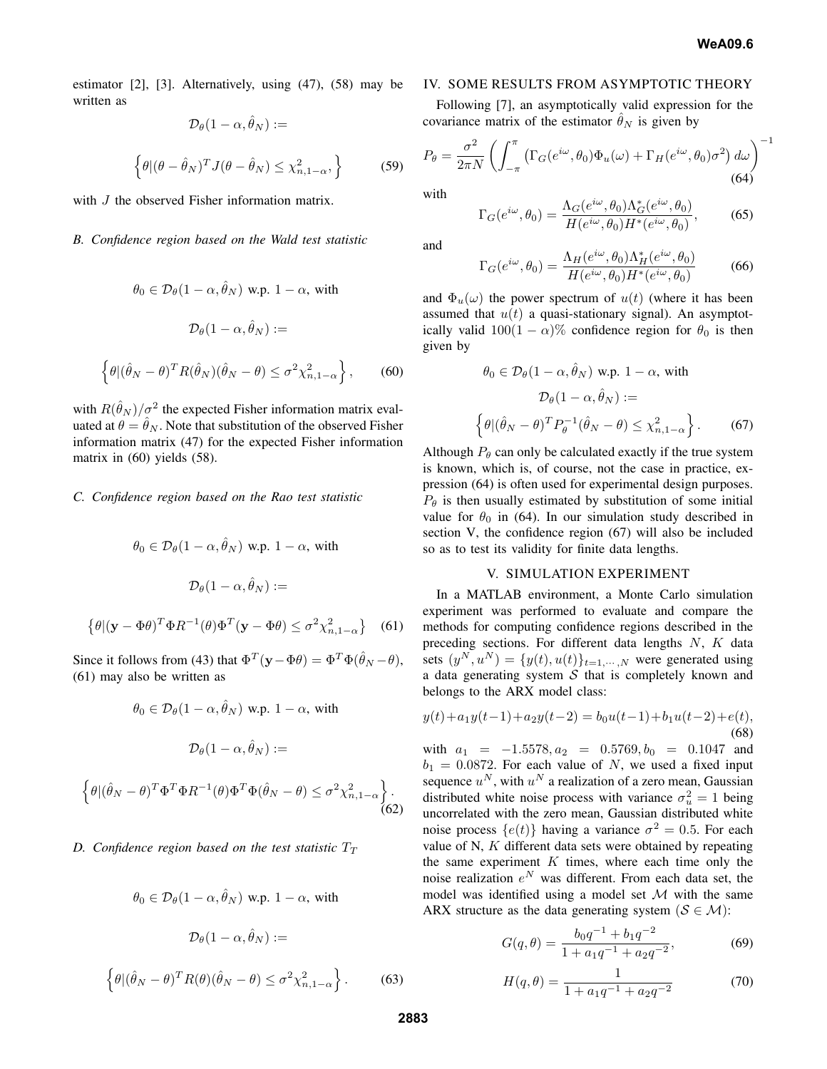estimator [2], [3]. Alternatively, using (47), (58) may be written as

$$
\mathcal{D}_{\theta}(1-\alpha, \theta_N) :=
$$
  

$$
\left\{ \theta | (\theta - \hat{\theta}_N)^T J(\theta - \hat{\theta}_N) \le \chi^2_{n, 1-\alpha}, \right\}
$$
 (59)

 $\hat{a}$ 

with *J* the observed Fisher information matrix.

## *B. Confidence region based on the Wald test statistic*

$$
\theta_0 \in \mathcal{D}_{\theta}(1-\alpha, \hat{\theta}_N) \text{ w.p. } 1-\alpha, \text{ with}
$$
  

$$
\mathcal{D}_{\theta}(1-\alpha, \hat{\theta}_N) :=
$$
  

$$
\left\{ \theta | (\hat{\theta}_N - \theta)^T R(\hat{\theta}_N)(\hat{\theta}_N - \theta) \le \sigma^2 \chi^2_{n, 1-\alpha} \right\},
$$

with  $R(\hat{\theta}_N)/\sigma^2$  the expected Fisher information matrix evaluated at  $\theta = \hat{\theta}_N$ . Note that substitution of the observed Fisher information matrix (47) for the expected Fisher information matrix in (60) yields (58).

## *C. Confidence region based on the Rao test statistic*

$$
\theta_0 \in \mathcal{D}_{\theta}(1-\alpha, \hat{\theta}_N) \text{ w.p. } 1-\alpha, \text{ with}
$$

$$
\mathcal{D}_{\theta}(1-\alpha, \hat{\theta}_N) :=
$$

$$
\left\{\theta | (\mathbf{y} - \Phi \theta)^T \Phi R^{-1}(\theta) \Phi^T (\mathbf{y} - \Phi \theta) \le \sigma^2 \chi^2_{n, 1-\alpha} \right\} \quad (61)
$$

Since it follows from (43) that  $\Phi^T(\mathbf{y} - \Phi \theta) = \Phi^T \Phi(\hat{\theta}_N - \theta)$ , (61) may also be written as

$$
\theta_0 \in \mathcal{D}_{\theta}(1-\alpha, \hat{\theta}_N) \text{ w.p. } 1-\alpha, \text{ with}
$$

$$
\mathcal{D}_{\theta}(1-\alpha, \hat{\theta}_N) :=
$$

$$
\left\{\theta | (\hat{\theta}_N - \theta)^T \Phi^T \Phi R^{-1}(\theta) \Phi^T \Phi(\hat{\theta}_N - \theta) \le \sigma^2 \chi^2_{n, 1-\alpha} \right\}.
$$
(62)

# *D.* Confidence region based on the test statistic  $T_T$

$$
\theta_0 \in \mathcal{D}_{\theta}(1-\alpha, \hat{\theta}_N) \text{ w.p. } 1-\alpha, \text{ with}
$$

$$
\mathcal{D}_{\theta}(1-\alpha, \hat{\theta}_N) :=
$$

$$
\left\{\theta | (\hat{\theta}_N - \theta)^T R(\theta) (\hat{\theta}_N - \theta) \le \sigma^2 \chi^2_{n, 1-\alpha} \right\}.
$$
 (63)

#### IV. SOME RESULTS FROM ASYMPTOTIC THEORY

Following [7], an asymptotically valid expression for the covariance matrix of the estimator  $\hat{\theta}_N$  is given by

$$
P_{\theta} = \frac{\sigma^2}{2\pi N} \left( \int_{-\pi}^{\pi} \left( \Gamma_G(e^{i\omega}, \theta_0) \Phi_u(\omega) + \Gamma_H(e^{i\omega}, \theta_0) \sigma^2 \right) d\omega \right)^{-1}
$$
  
with

with

$$
\Gamma_G(e^{i\omega}, \theta_0) = \frac{\Lambda_G(e^{i\omega}, \theta_0)\Lambda_G^*(e^{i\omega}, \theta_0)}{H(e^{i\omega}, \theta_0)H^*(e^{i\omega}, \theta_0)},
$$
(65)

and

, (60)

$$
\Gamma_G(e^{i\omega}, \theta_0) = \frac{\Lambda_H(e^{i\omega}, \theta_0)\Lambda_H^*(e^{i\omega}, \theta_0)}{H(e^{i\omega}, \theta_0)H^*(e^{i\omega}, \theta_0)}
$$
(66)

and  $\Phi_u(\omega)$  the power spectrum of  $u(t)$  (where it has been assumed that  $u(t)$  a quasi-stationary signal). An asymptotically valid  $100(1 - \alpha)$ % confidence region for  $\theta_0$  is then given by

$$
\theta_0 \in \mathcal{D}_{\theta}(1-\alpha, \hat{\theta}_N) \text{ w.p. } 1-\alpha, \text{ with}
$$

$$
\mathcal{D}_{\theta}(1-\alpha, \hat{\theta}_N) :=
$$

$$
\left\{\theta | (\hat{\theta}_N - \theta)^T P_{\theta}^{-1} (\hat{\theta}_N - \theta) \le \chi^2_{n, 1-\alpha} \right\}. \tag{67}
$$

Although  $P_{\theta}$  can only be calculated exactly if the true system is known, which is, of course, not the case in practice, expression (64) is often used for experimental design purposes.  $P_{\theta}$  is then usually estimated by substitution of some initial value for  $\theta_0$  in (64). In our simulation study described in section V, the confidence region (67) will also be included so as to test its validity for finite data lengths.

## V. SIMULATION EXPERIMENT

In a MATLAB environment, a Monte Carlo simulation experiment was performed to evaluate and compare the methods for computing confidence regions described in the preceding sections. For different data lengths  $N$ ,  $K$  data sets  $(y^N, u^N) = \{y(t), u(t)\}_{t=1,\dots,N}$  were generated using a data generating system  $S$  that is completely known and belongs to the ARX model class:

$$
y(t) + a_1 y(t-1) + a_2 y(t-2) = b_0 u(t-1) + b_1 u(t-2) + e(t),
$$
\n(68)

with  $a_1 = -1.5578, a_2 = 0.5769, b_0 = 0.1047$  and  $b_1 = 0.0872$ . For each value of N, we used a fixed input sequence  $u^N$ , with  $u^N$  a realization of a zero mean, Gaussian distributed white noise process with variance  $\sigma_u^2 = 1$  being uncorrelated with the zero mean, Gaussian distributed white noise process  $\{e(t)\}$  having a variance  $\sigma^2 = 0.5$ . For each value of N, K different data sets were obtained by repeating the same experiment  $K$  times, where each time only the noise realization  $e^N$  was different. From each data set, the model was identified using a model set  $M$  with the same ARX structure as the data generating system ( $S \in \mathcal{M}$ ):

$$
G(q, \theta) = \frac{b_0 q^{-1} + b_1 q^{-2}}{1 + a_1 q^{-1} + a_2 q^{-2}},
$$
\n(69)

$$
H(q, \theta) = \frac{1}{1 + a_1 q^{-1} + a_2 q^{-2}}
$$
\n(70)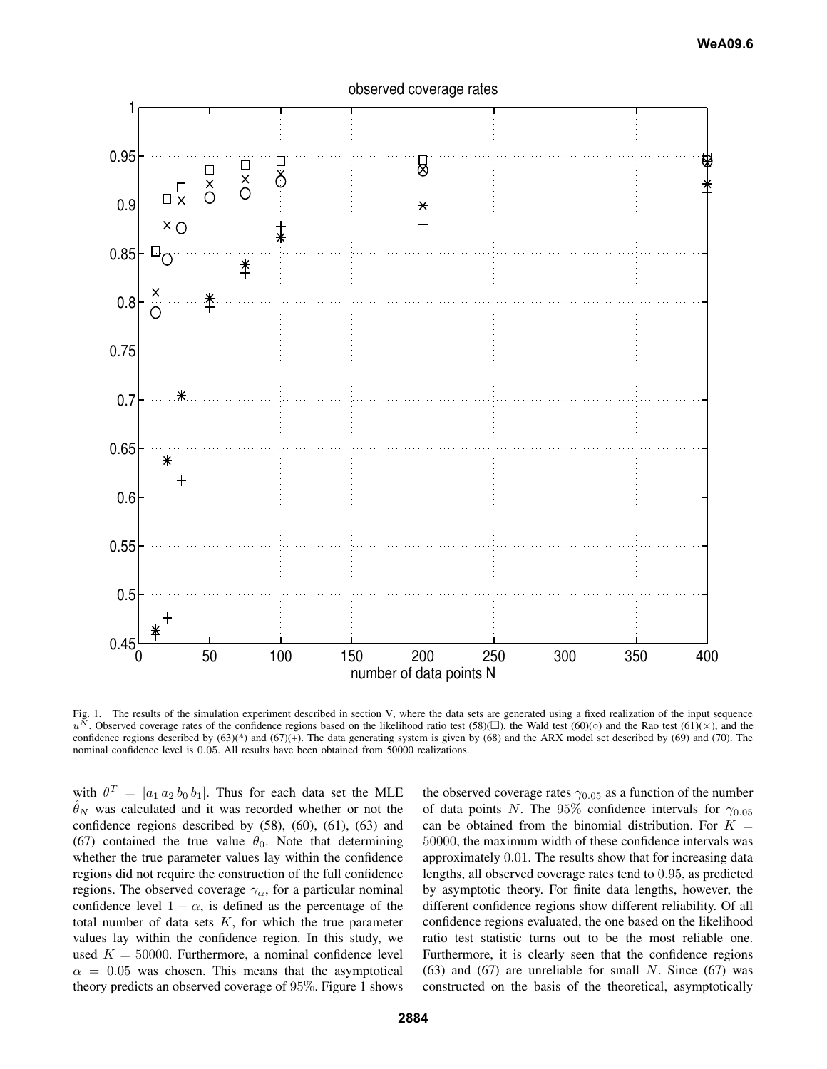

observed coverage rates

Fig. 1. The results of the simulation experiment described in section V, where the data sets are generated using a fixed realization of the input sequence  $u^N$ . Observed coverage rates of the confidence regions based on confidence regions described by (63)(\*) and (67)(+). The data generating system is given by (68) and the ARX model set described by (69) and (70). The nominal confidence level is 0.05. All results have been obtained from 50000 realizations.

with  $\theta^T = [a_1 a_2 b_0 b_1]$ . Thus for each data set the MLE  $\hat{\theta}_N$  was calculated and it was recorded whether or not the confidence regions described by  $(58)$ ,  $(60)$ ,  $(61)$ ,  $(63)$  and (67) contained the true value  $\theta_0$ . Note that determining whether the true parameter values lay within the confidence regions did not require the construction of the full confidence regions. The observed coverage  $\gamma_{\alpha}$ , for a particular nominal confidence level  $1 - \alpha$ , is defined as the percentage of the total number of data sets  $K$ , for which the true parameter values lay within the confidence region. In this study, we used  $K = 50000$ . Furthermore, a nominal confidence level  $\alpha = 0.05$  was chosen. This means that the asymptotical theory predicts an observed coverage of 95%. Figure 1 shows

the observed coverage rates  $\gamma_{0.05}$  as a function of the number of data points N. The 95% confidence intervals for  $\gamma_{0.05}$ can be obtained from the binomial distribution. For  $K =$ 50000, the maximum width of these confidence intervals was approximately 0.01. The results show that for increasing data lengths, all observed coverage rates tend to 0.95, as predicted by asymptotic theory. For finite data lengths, however, the different confidence regions show different reliability. Of all confidence regions evaluated, the one based on the likelihood ratio test statistic turns out to be the most reliable one. Furthermore, it is clearly seen that the confidence regions (63) and (67) are unreliable for small  $N$ . Since (67) was constructed on the basis of the theoretical, asymptotically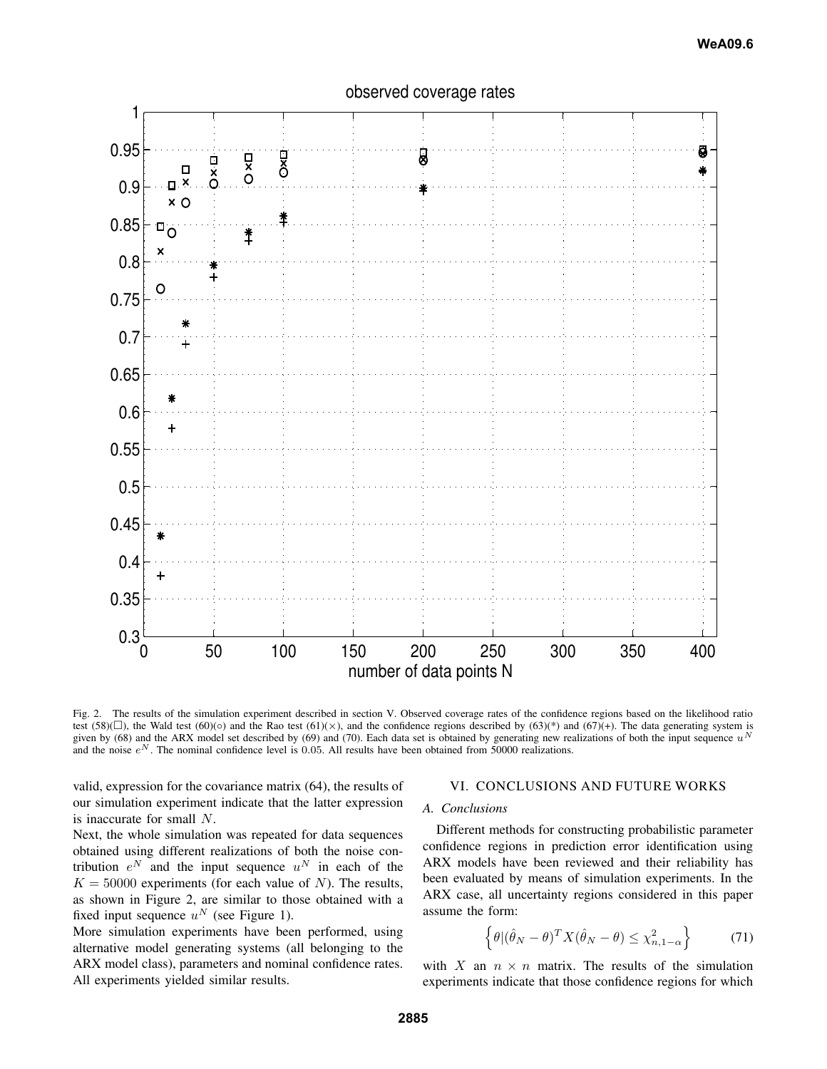



Fig. 2. The results of the simulation experiment described in section V. Observed coverage rates of the confidence regions based on the likelihood ratio test (58)( $\square$ ), the Wald test (60)( $\circ$ ) and the Rao test (61)( $\times$ ), and the confidence regions described by (63)(\*) and (67)(+). The data generating system is given by (68) and the ARX model set described by (69) and (70). Each data set is obtained by generating new realizations of both the input sequence  $u<sup>N</sup>$ and the noise  $e^N$ . The nominal confidence level is 0.05. All results have been obtained from 50000 realizations.

valid, expression for the covariance matrix (64), the results of our simulation experiment indicate that the latter expression is inaccurate for small N.

Next, the whole simulation was repeated for data sequences obtained using different realizations of both the noise contribution  $e^N$  and the input sequence  $u^N$  in each of the  $K = 50000$  experiments (for each value of N). The results, as shown in Figure 2, are similar to those obtained with a fixed input sequence  $u^N$  (see Figure 1).

More simulation experiments have been performed, using alternative model generating systems (all belonging to the ARX model class), parameters and nominal confidence rates. All experiments yielded similar results.

# VI. CONCLUSIONS AND FUTURE WORKS

# *A. Conclusions*

Different methods for constructing probabilistic parameter confidence regions in prediction error identification using ARX models have been reviewed and their reliability has been evaluated by means of simulation experiments. In the ARX case, all uncertainty regions considered in this paper assume the form:

$$
\left\{\theta | (\hat{\theta}_N - \theta)^T X(\hat{\theta}_N - \theta) \le \chi^2_{n, 1 - \alpha}\right\} \tag{71}
$$

with X an  $n \times n$  matrix. The results of the simulation experiments indicate that those confidence regions for which